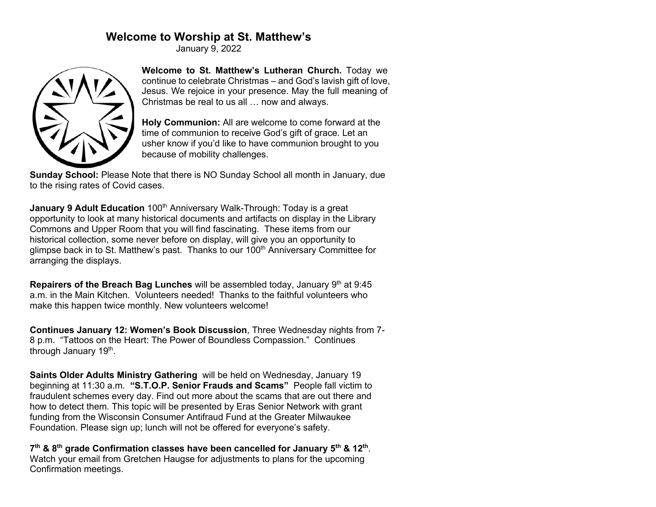## **Welcome to Worship at St. Matthew's**

January 9, 2022



**Welcome to St. Matthew's Lutheran Church.** Today we continue to celebrate Christmas – and God's lavish gift of love, Jesus. We rejoice in your presence. May the full meaning of Christmas be real to us all … now and always.

**Holy Communion:** All are welcome to come forward at the time of communion to receive God's gift of grace. Let an usher know if you'd like to have communion brought to you because of mobility challenges.

**Sunday School:** Please Note that there is NO Sunday School all month in January, due to the rising rates of Covid cases.

**January 9 Adult Education** 100<sup>th</sup> Anniversary Walk-Through: Today is a great opportunity to look at many historical documents and artifacts on display in the Library Commons and Upper Room that you will find fascinating. These items from our historical collection, some never before on display, will give you an opportunity to glimpse back in to St. Matthew's past. Thanks to our 100<sup>th</sup> Anniversary Committee for arranging the displays.

**Repairers of the Breach Bag Lunches** will be assembled today, January 9<sup>th</sup> at 9:45 a.m. in the Main Kitchen. Volunteers needed! Thanks to the faithful volunteers who make this happen twice monthly. New volunteers welcome!

**Continues January 12: Women's Book Discussion**, Three Wednesday nights from 7- 8 p.m. "Tattoos on the Heart: The Power of Boundless Compassion." Continues through January 19<sup>th</sup>.

**Saints Older Adults Ministry Gathering** will be held on Wednesday, January 19 beginning at 11:30 a.m. **"S.T.O.P. Senior Frauds and Scams"** People fall victim to fraudulent schemes every day. Find out more about the scams that are out there and how to detect them. This topic will be presented by Eras Senior Network with grant funding from the Wisconsin Consumer Antifraud Fund at the Greater Milwaukee Foundation. Please sign up; lunch will not be offered for everyone's safety.

**7th & 8th grade Confirmation classes have been cancelled for January 5th & 12th**. Watch your email from Gretchen Haugse for adjustments to plans for the upcoming Confirmation meetings.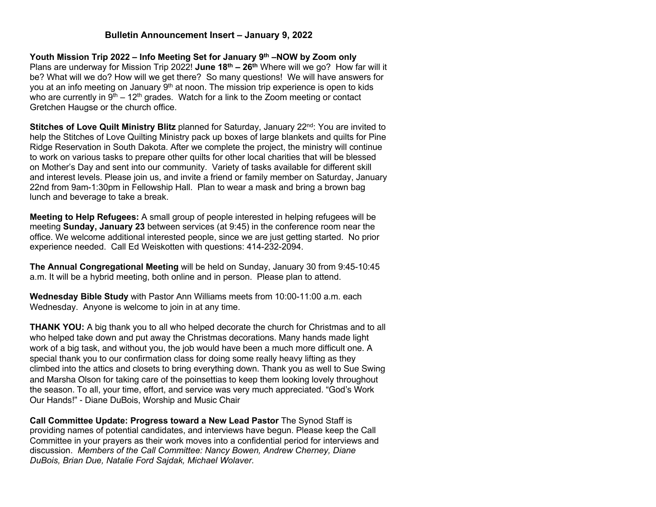## **Bulletin Announcement Insert – January 9, 2022**

**Youth Mission Trip 2022 – Info Meeting Set for January 9th –NOW by Zoom only** Plans are underway for Mission Trip 2022! **June 18th – 26th** Where will we go? How far will it be? What will we do? How will we get there? So many questions! We will have answers for you at an info meeting on January 9<sup>th</sup> at noon. The mission trip experience is open to kids who are currently in  $9<sup>th</sup> - 12<sup>th</sup>$  grades. Watch for a link to the Zoom meeting or contact Gretchen Haugse or the church office.

**Stitches of Love Quilt Ministry Blitz** planned for Saturday, January 22<sup>nd</sup>: You are invited to help the Stitches of Love Quilting Ministry pack up boxes of large blankets and quilts for Pine Ridge Reservation in South Dakota. After we complete the project, the ministry will continue to work on various tasks to prepare other quilts for other local charities that will be blessed on Mother's Day and sent into our community. Variety of tasks available for different skill and interest levels. Please join us, and invite a friend or family member on Saturday, January 22nd from 9am-1:30pm in Fellowship Hall. Plan to wear a mask and bring a brown bag lunch and beverage to take a break.

**Meeting to Help Refugees:** A small group of people interested in helping refugees will be meeting **Sunday, January 23** between services (at 9:45) in the conference room near the office. We welcome additional interested people, since we are just getting started. No prior experience needed. Call Ed Weiskotten with questions: 414-232-2094.

**The Annual Congregational Meeting** will be held on Sunday, January 30 from 9:45-10:45 a.m. It will be a hybrid meeting, both online and in person. Please plan to attend.

**Wednesday Bible Study** with Pastor Ann Williams meets from 10:00-11:00 a.m. each Wednesday. Anyone is welcome to join in at any time.

**THANK YOU:** A big thank you to all who helped decorate the church for Christmas and to all who helped take down and put away the Christmas decorations. Many hands made light work of a big task, and without you, the job would have been a much more difficult one. A special thank you to our confirmation class for doing some really heavy lifting as they climbed into the attics and closets to bring everything down. Thank you as well to Sue Swing and Marsha Olson for taking care of the poinsettias to keep them looking lovely throughout the season. To all, your time, effort, and service was very much appreciated. "God's Work Our Hands!" - Diane DuBois, Worship and Music Chair

**Call Committee Update: Progress toward a New Lead Pastor** The Synod Staff is providing names of potential candidates, and interviews have begun. Please keep the Call Committee in your prayers as their work moves into a confidential period for interviews and discussion. *Members of the Call Committee: Nancy Bowen, Andrew Cherney, Diane DuBois, Brian Due, Natalie Ford Sajdak, Michael Wolaver.*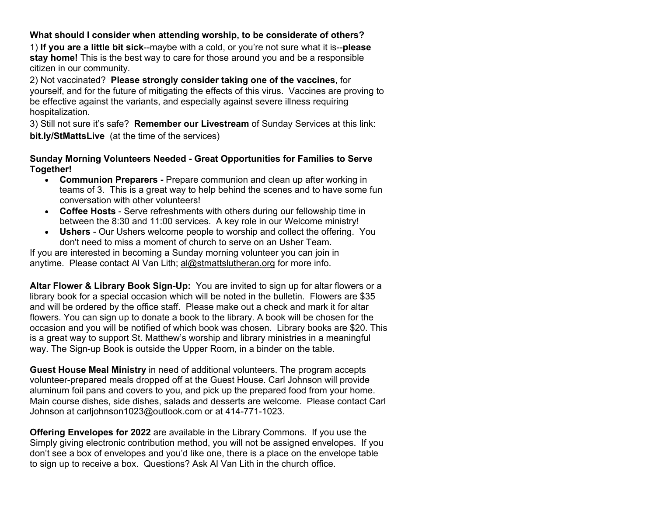## **What should I consider when attending worship, to be considerate of others?**

1) **If you are a little bit sick**--maybe with a cold, or you're not sure what it is--**please stay home!** This is the best way to care for those around you and be a responsible citizen in our community.

2) Not vaccinated? **Please strongly consider taking one of the vaccines**, for yourself, and for the future of mitigating the effects of this virus. Vaccines are proving to be effective against the variants, and especially against severe illness requiring hospitalization.

3) Still not sure it's safe? **Remember our Livestream** of Sunday Services at this link: **bit.ly/StMattsLive** (at the time of the services)

## **Sunday Morning Volunteers Needed - Great Opportunities for Families to Serve Together!**

- **Communion Preparers -** Prepare communion and clean up after working in teams of 3. This is a great way to help behind the scenes and to have some fun conversation with other volunteers!
- **Coffee Hosts** Serve refreshments with others during our fellowship time in between the 8:30 and 11:00 services. A key role in our Welcome ministry!
- **Ushers** Our Ushers welcome people to worship and collect the offering. You don't need to miss a moment of church to serve on an Usher Team.

If you are interested in becoming a Sunday morning volunteer you can join in anytime. Please contact Al Van Lith; al@stmattslutheran.org for more info.

**Altar Flower & Library Book Sign-Up:** You are invited to sign up for altar flowers or a library book for a special occasion which will be noted in the bulletin. Flowers are \$35 and will be ordered by the office staff. Please make out a check and mark it for altar flowers. You can sign up to donate a book to the library. A book will be chosen for the occasion and you will be notified of which book was chosen. Library books are \$20. This is a great way to support St. Matthew's worship and library ministries in a meaningful way. The Sign-up Book is outside the Upper Room, in a binder on the table.

**Guest House Meal Ministry** in need of additional volunteers. The program accepts volunteer-prepared meals dropped off at the Guest House. Carl Johnson will provide aluminum foil pans and covers to you, and pick up the prepared food from your home. Main course dishes, side dishes, salads and desserts are welcome. Please contact Carl Johnson at carljohnson1023@outlook.com or at 414-771-1023.

**Offering Envelopes for 2022** are available in the Library Commons. If you use the Simply giving electronic contribution method, you will not be assigned envelopes. If you don't see a box of envelopes and you'd like one, there is a place on the envelope table to sign up to receive a box. Questions? Ask Al Van Lith in the church office.